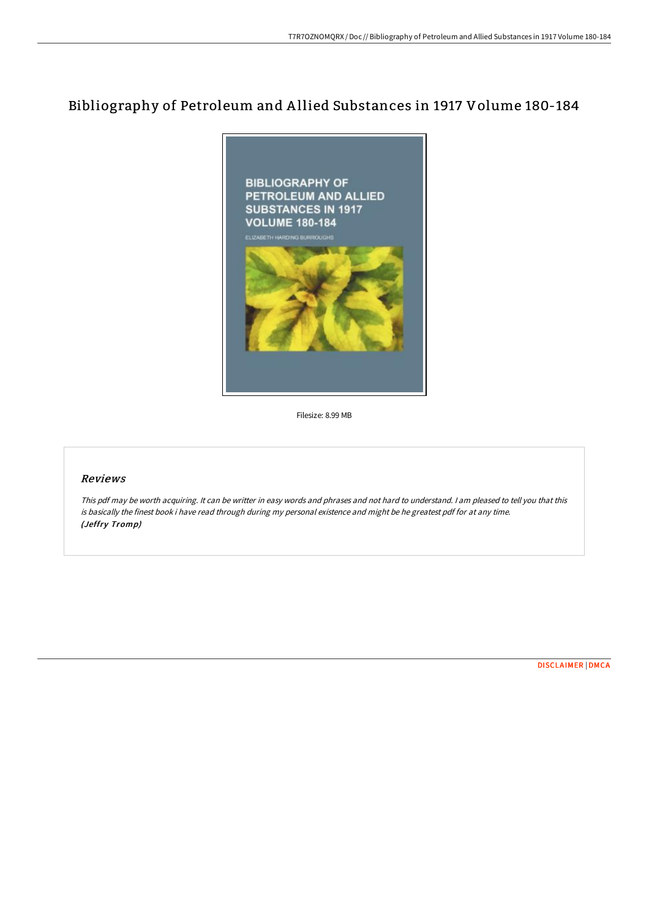## Bibliography of Petroleum and A llied Substances in 1917 Volume 180-184



Filesize: 8.99 MB

## Reviews

This pdf may be worth acquiring. It can be writter in easy words and phrases and not hard to understand. <sup>I</sup> am pleased to tell you that this is basically the finest book i have read through during my personal existence and might be he greatest pdf for at any time. (Jeffry Tromp)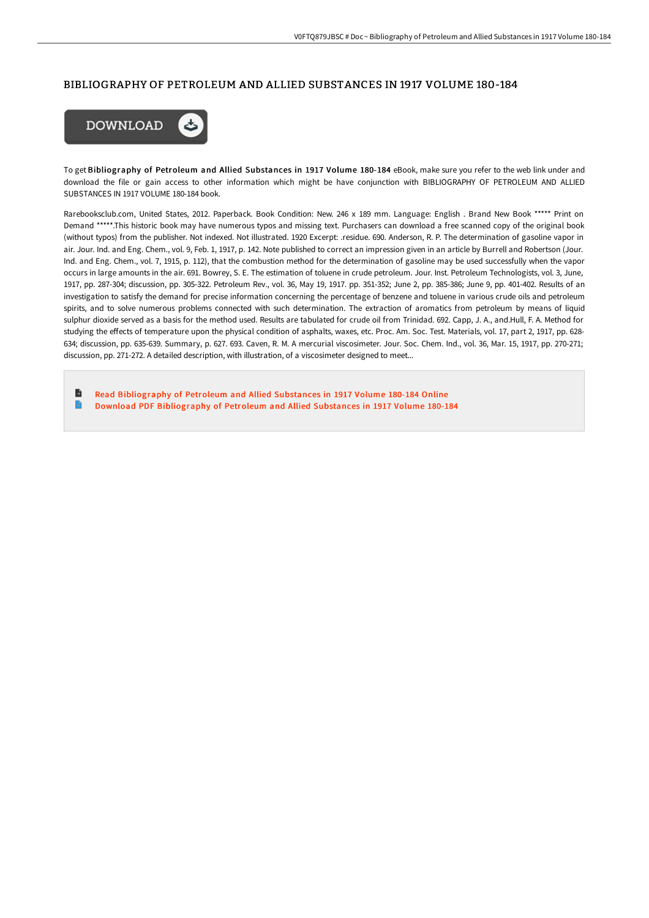## BIBLIOGRAPHY OF PETROLEUM AND ALLIED SUBSTANCES IN 1917 VOLUME 180-184



To get Bibliography of Petroleum and Allied Substances in 1917 Volume 180-184 eBook, make sure you refer to the web link under and download the file or gain access to other information which might be have conjunction with BIBLIOGRAPHY OF PETROLEUM AND ALLIED SUBSTANCES IN 1917 VOLUME 180-184 book.

Rarebooksclub.com, United States, 2012. Paperback. Book Condition: New. 246 x 189 mm. Language: English . Brand New Book \*\*\*\*\* Print on Demand \*\*\*\*\*.This historic book may have numerous typos and missing text. Purchasers can download a free scanned copy of the original book (without typos) from the publisher. Not indexed. Not illustrated. 1920 Excerpt: .residue. 690. Anderson, R. P. The determination of gasoline vapor in air. Jour. Ind. and Eng. Chem., vol. 9, Feb. 1, 1917, p. 142. Note published to correct an impression given in an article by Burrell and Robertson (Jour. Ind. and Eng. Chem., vol. 7, 1915, p. 112), that the combustion method for the determination of gasoline may be used successfully when the vapor occurs in large amounts in the air. 691. Bowrey, S. E. The estimation of toluene in crude petroleum. Jour. Inst. Petroleum Technologists, vol. 3, June, 1917, pp. 287-304; discussion, pp. 305-322. Petroleum Rev., vol. 36, May 19, 1917. pp. 351-352; June 2, pp. 385-386; June 9, pp. 401-402. Results of an investigation to satisfy the demand for precise information concerning the percentage of benzene and toluene in various crude oils and petroleum spirits, and to solve numerous problems connected with such determination. The extraction of aromatics from petroleum by means of liquid sulphur dioxide served as a basis for the method used. Results are tabulated for crude oil from Trinidad. 692. Capp, J. A., and.Hull, F. A. Method for studying the effects of temperature upon the physical condition of asphalts, waxes, etc. Proc. Am. Soc. Test. Materials, vol. 17, part 2, 1917, pp. 628-634; discussion, pp. 635-639. Summary, p. 627. 693. Caven, R. M. A mercurial viscosimeter. Jour. Soc. Chem. Ind., vol. 36, Mar. 15, 1917, pp. 270-271; discussion, pp. 271-272. A detailed description, with illustration, of a viscosimeter designed to meet...

 $\blacksquare$ Read [Bibliography](http://techno-pub.tech/bibliography-of-petroleum-and-allied-substances-.html) of Petroleum and Allied Substances in 1917 Volume 180-184 Online  $\blacksquare$ Download PDF [Bibliography](http://techno-pub.tech/bibliography-of-petroleum-and-allied-substances-.html) of Petroleum and Allied Substances in 1917 Volume 180-184